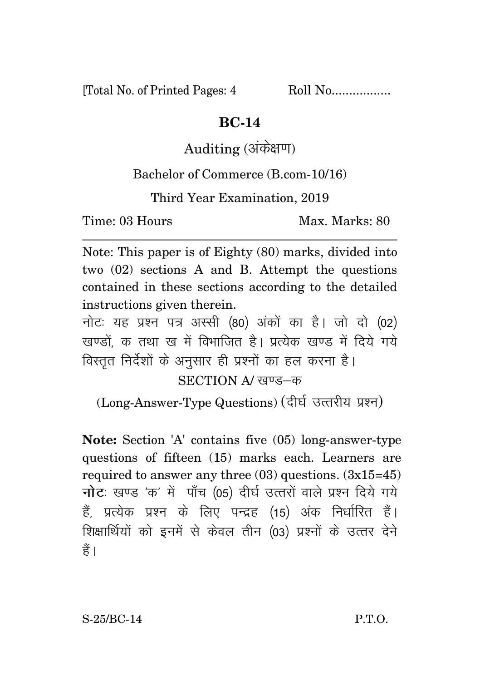[Total No. of Printed Pages: 4 Roll No.................

## **BC-14**

Auditing (अंकेक्षण)

Bachelor of Commerce (B.com-10/16)

Third Year Examination, 2019

Time: 03 Hours Max. Marks: 80

Note: This paper is of Eighty (80) marks, divided into two (02) sections A and B. Attempt the questions contained in these sections according to the detailed instructions given therein.

नोट: यह प्रश्न पत्र अस्सी (80) अंकों का है। जो दो (02) खण्डों क तथा ख में विभाजित है। प्रत्येक खण्ड में दिये गये विस्तृत निर्देशों के अनुसार ही प्रश्नों का हल करना है।

 $SECTION$  A/  $r$ वण्ड—क

(Long-Answer-Type Questions) (दीर्घ उत्तरीय प्रश्न)

**Note:** Section 'A' contains five (05) long-answer-type questions of fifteen (15) marks each. Learners are required to answer any three  $(03)$  questions.  $(3x15=45)$ **नोट**: खण्ड 'क' में पाँच (05) दीर्घ उत्तरों वाले प्रश्न दिये गये हैं. प्रत्येक प्रश्न के लिए पन्द्रह (15) अंक निर्धारित हैं। शिक्षार्थियों को इनमें से केवल तीन (03) प्रश्नों के उत्तर देने हैं ।

S-25/BC-14 P.T.O.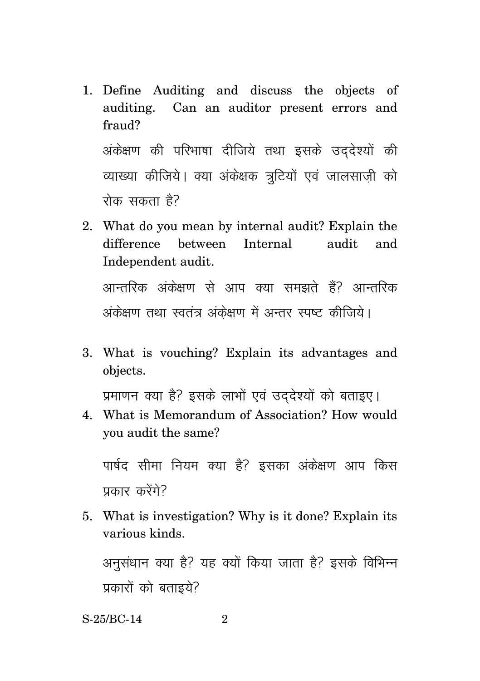- 1. Define Auditing and discuss the objects of auditing. Can an auditor present errors and fraud? अंकेक्षण की परिभाषा दीजिये तथा इसके उददेश्यों की व्याख्या कीजिये। क्या अंकेक्षक त्रटियों एवं जालसाजी को रोक सकता है?
- 2. What do you mean by internal audit? Explain the difference between Internal audit and Independent audit.

आन्तरिक अंकेक्षण से आप क्या समझते हैं? आन्तरिक अंकेक्षण तथा स्वतंत्र अंकेक्षण में अन्तर स्पष्ट कीजिये।

3. What is vouching? Explain its advantages and objects.

प्रमाणन क्या है? इसके लाभों एवं उददेश्यों को बताइए।

4. What is Memorandum of Association? How would you audit the same?

पार्षद सीमा नियम क्या है? इसका अंकेक्षण आप किस प्रकार करेंगे?

5. What is investigation? Why is it done? Explain its various kinds.

अनसंधान क्या है? यह क्यों किया जाता है? इसके विभिन्न प्रकारों को बताइये?

S-25/BC-14 2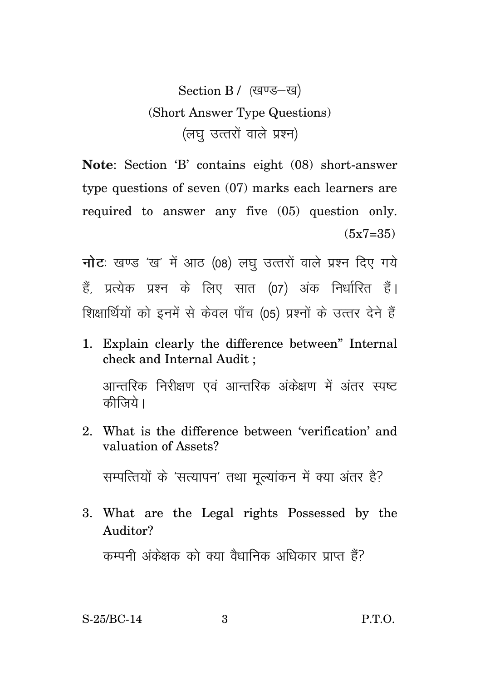Section B / (खण्ड-ख) (Short Answer Type Questions) (लघु उत्तरों वाले प्रश्न)

**Note**: Section 'B' contains eight (08) short-answer type questions of seven (07) marks each learners are required to answer any five (05) question only.  $(5x7=35)$ 

**नोट**: खण्ड 'ख' में आठ (08) लघु उत्तरों वाले प्रश्न दिए गये हैं, प्रत्येक प्रश्न के लिए सात (07) अंक निर्धारित हैं। शिक्षार्थियों को इनमें से केवल पाँच (05) प्रश्नों के उत्तर देने हैं

1. Explain clearly the difference between" Internal check and Internal Audit ;

आन्तरिक निरीक्षण एवं आन्तरिक अंकेक्षण में अंतर स्पष्ट कीजिये।

2. What is the difference between 'verification' and valuation of Assets?

सम्पत्तियों के 'सत्यापन' तथा मुल्यांकन में क्या अंतर है?

3. What are the Legal rights Possessed by the Auditor?

कम्पनी अंकेक्षक को क्या वैधानिक अधिकार प्राप्त हैं?